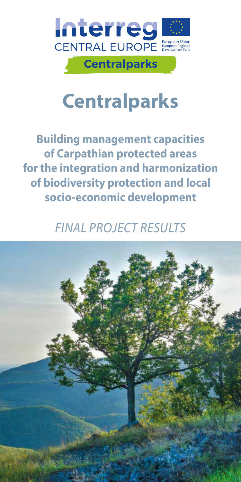

# **Centralparks**

**Building management capacities of Carpathian protected areas for the integration and harmonization of biodiversity protection and local socio-economic development**

### *FINAL PROJECT RESULTS*

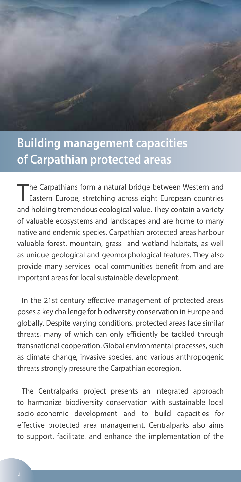

#### **Building management capacities of Carpathian protected areas**

The Carpathians form a natural bridge between Western and Eastern Europe, stretching across eight European countries and holding tremendous ecological value. They contain a variety of valuable ecosystems and landscapes and are home to many native and endemic species. Carpathian protected areas harbour valuable forest, mountain, grass- and wetland habitats, as well as unique geological and geomorphological features. They also provide many services local communities benefit from and are important areas for local sustainable development.

In the 21st century effective management of protected areas poses a key challenge for biodiversity conservation in Europe and globally. Despite varying conditions, protected areas face similar threats, many of which can only efficiently be tackled through transnational cooperation. Global environmental processes, such as climate change, invasive species, and various anthropogenic threats strongly pressure the Carpathian ecoregion.

The Centralparks project presents an integrated approach to harmonize biodiversity conservation with sustainable local socio-economic development and to build capacities for effective protected area management. Centralparks also aims to support, facilitate, and enhance the implementation of the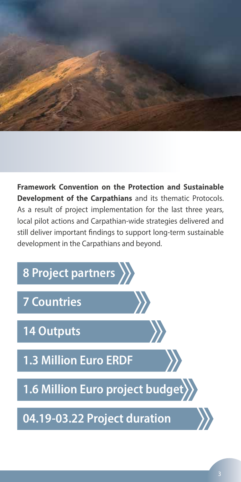

**Framework Convention on the Protection and Sustainable Development of the Carpathians** and its thematic Protocols. As a result of project implementation for the last three years, local pilot actions and Carpathian-wide strategies delivered and still deliver important findings to support long-term sustainable development in the Carpathians and beyond.

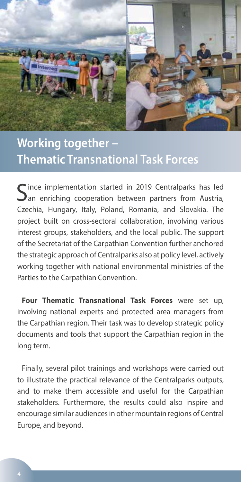

## **Working together – Thematic Transnational Task Forces**

 $\bigcap$  ince implementation started in 2019 Centralparks has led  $\mathbf{\mathcal{Q}}$  an enriching cooperation between partners from Austria, Czechia, Hungary, Italy, Poland, Romania, and Slovakia. The project built on cross-sectoral collaboration, involving various interest groups, stakeholders, and the local public. The support of the Secretariat of the Carpathian Convention further anchored the strategic approach of Centralparks also at policy level, actively working together with national environmental ministries of the Parties to the Carpathian Convention.

**Four Thematic Transnational Task Forces** were set up, involving national experts and protected area managers from the Carpathian region. Their task was to develop strategic policy documents and tools that support the Carpathian region in the long term.

Finally, several pilot trainings and workshops were carried out to illustrate the practical relevance of the Centralparks outputs, and to make them accessible and useful for the Carpathian stakeholders. Furthermore, the results could also inspire and encourage similar audiences in other mountain regions of Central Europe, and beyond.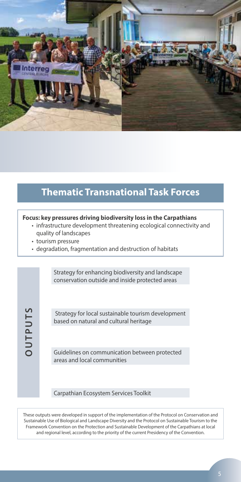

#### **Thematic Transnational Task Forces**

#### **Focus: key pressures driving biodiversity loss in the Carpathians**

- infrastructure development threatening ecological connectivity and quality of landscapes
- tourism pressure
- degradation, fragmentation and destruction of habitats

Strategy for enhancing biodiversity and landscape conservation outside and inside protected areas

**OUTPUTS OUTPUTS**

Strategy for local sustainable tourism development based on natural and cultural heritage

Guidelines on communication between protected areas and local communities

Carpathian Ecosystem Services Toolkit

These outputs were developed in support of the implementation of the Protocol on Conservation and Sustainable Use of Biological and Landscape Diversity and the Protocol on Sustainable Tourism to the Framework Convention on the Protection and Sustainable Development of the Carpathians at local and regional level, according to the priority of the current Presidency of the Convention.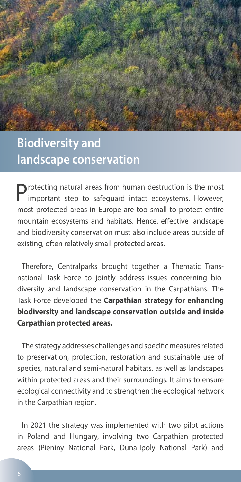

#### **Biodiversity and landscape conservation**

Protecting natural areas from human destruction is the most important step to safeguard intact ecosystems. However, most protected areas in Europe are too small to protect entire mountain ecosystems and habitats. Hence, effective landscape and biodiversity conservation must also include areas outside of existing, often relatively small protected areas.

Therefore, Centralparks brought together a Thematic Transnational Task Force to jointly address issues concerning biodiversity and landscape conservation in the Carpathians. The Task Force developed the **Carpathian strategy for enhancing biodiversity and landscape conservation outside and inside Carpathian protected areas.**

The strategy addresses challenges and specific measures related to preservation, protection, restoration and sustainable use of species, natural and semi-natural habitats, as well as landscapes within protected areas and their surroundings. It aims to ensure ecological connectivity and to strengthen the ecological network in the Carpathian region.

In 2021 the strategy was implemented with two pilot actions in Poland and Hungary, involving two Carpathian protected areas (Pieniny National Park, Duna-Ipoly National Park) and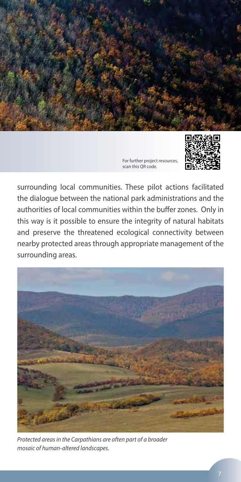



surrounding local communities. These pilot actions facilitated the dialogue between the national park administrations and the authorities of local communities within the buffer zones. Only in this way is it possible to ensure the integrity of natural habitats and preserve the threatened ecological connectivity between nearby protected areas through appropriate management of the surrounding areas.



*Protected areas in the Carpathians are often part of a broader mosaic of human-altered landscapes.*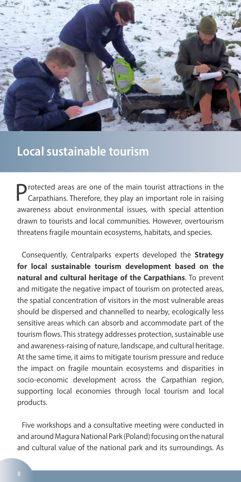

#### **Local sustainable tourism**

Protected areas are one of the main tourist attractions in the Carpathians. Therefore, they play an important role in raising awareness about environmental issues, with special attention drawn to tourists and local communities. However, overtourism threatens fragile mountain ecosystems, habitats, and species.

Consequently, Centralparks experts developed the **Strategy for local sustainable tourism development based on the natural and cultural heritage of the Carpathians**. To prevent and mitigate the negative impact of tourism on protected areas, the spatial concentration of visitors in the most vulnerable areas should be dispersed and channelled to nearby, ecologically less sensitive areas which can absorb and accommodate part of the tourism flows. This strategy addresses protection, sustainable use and awareness-raising of nature, landscape, and cultural heritage. At the same time, it aims to mitigate tourism pressure and reduce the impact on fragile mountain ecosystems and disparities in socio-economic development across the Carpathian region, supporting local economies through local tourism and local products.

Five workshops and a consultative meeting were conducted in and around Magura National Park (Poland) focusing on the natural and cultural value of the national park and its surroundings. As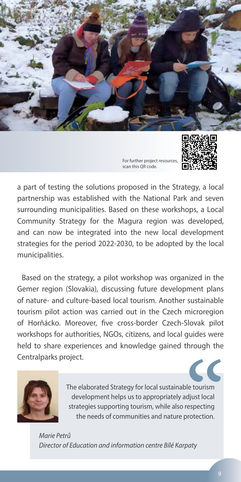



a part of testing the solutions proposed in the Strategy, a local partnership was established with the National Park and seven surrounding municipalities. Based on these workshops, a Local Community Strategy for the Magura region was developed, and can now be integrated into the new local development strategies for the period 2022-2030, to be adopted by the local municipalities.

Based on the strategy, a pilot workshop was organized in the Gemer region (Slovakia), discussing future development plans of nature- and culture-based local tourism. Another sustainable tourism pilot action was carried out in the Czech microregion of Horňácko. Moreover, five cross-border Czech-Slovak pilot workshops for authorities, NGOs, citizens, and local guides were held to share experiences and knowledge gained through the Centralparks project.



The elaborated Strategy for local sustainable tourism development helps us to appropriately adjust local strategies supporting tourism, while also respecting the needs of communities and nature protection.

*Marie Petrů Director of Education and information centre Bílé Karpaty*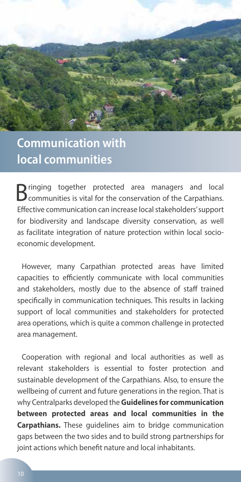

### **Communication with local communities**

Bringing together protected area managers and local communities is vital for the conservation of the Carpathians. Effective communication can increase local stakeholders' support for biodiversity and landscape diversity conservation, as well as facilitate integration of nature protection within local socioeconomic development.

However, many Carpathian protected areas have limited capacities to efficiently communicate with local communities and stakeholders, mostly due to the absence of staff trained specifically in communication techniques. This results in lacking support of local communities and stakeholders for protected area operations, which is quite a common challenge in protected area management.

Cooperation with regional and local authorities as well as relevant stakeholders is essential to foster protection and sustainable development of the Carpathians. Also, to ensure the wellbeing of current and future generations in the region. That is why Centralparks developed the **Guidelines for communication between protected areas and local communities in the Carpathians.** These guidelines aim to bridge communication gaps between the two sides and to build strong partnerships for joint actions which benefit nature and local inhabitants.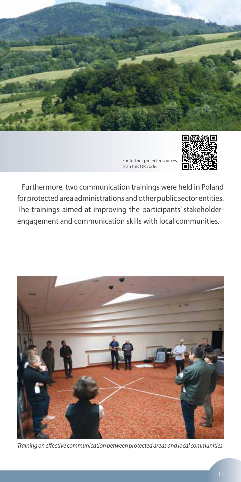



Furthermore, two communication trainings were held in Poland for protected area administrations and other public sector entities. The trainings aimed at improving the participants' stakeholderengagement and communication skills with local communities.



*Training on effective communication between protected areas and local communities.*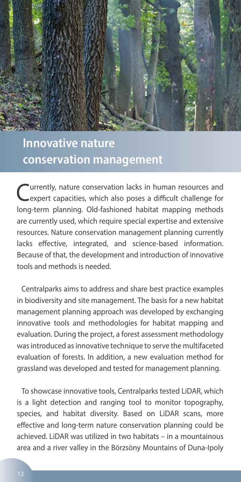

#### **Innovative nature conservation management**

Currently, nature conservation lacks in human resources and expert capacities, which also poses a difficult challenge for long-term planning. Old-fashioned habitat mapping methods are currently used, which require special expertise and extensive resources. Nature conservation management planning currently lacks effective, integrated, and science-based information. Because of that, the development and introduction of innovative tools and methods is needed.

Centralparks aims to address and share best practice examples in biodiversity and site management. The basis for a new habitat management planning approach was developed by exchanging innovative tools and methodologies for habitat mapping and evaluation. During the project, a forest assessment methodology was introduced as innovative technique to serve the multifaceted evaluation of forests. In addition, a new evaluation method for grassland was developed and tested for management planning.

To showcase innovative tools, Centralparks tested LiDAR, which is a light detection and ranging tool to monitor topography, species, and habitat diversity. Based on LiDAR scans, more effective and long-term nature conservation planning could be achieved. LiDAR was utilized in two habitats – in a mountainous area and a river valley in the Börzsöny Mountains of Duna-Ipoly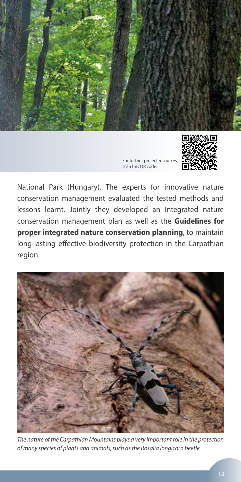



National Park (Hungary). The experts for innovative nature conservation management evaluated the tested methods and lessons learnt. Jointly they developed an Integrated nature conservation management plan as well as the **Guidelines for proper integrated nature conservation planning**, to maintain long-lasting effective biodiversity protection in the Carpathian region.



*The nature of the Carpathian Mountains plays a very important role in the protection of many species of plants and animals, such as the Rosalia longicorn beetle.*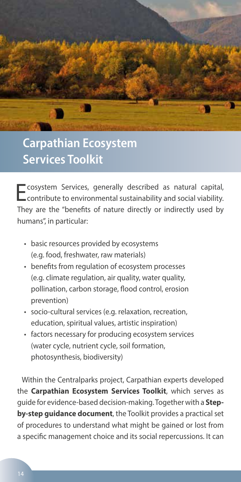

### **Carpathian Ecosystem Services Toolkit**

Ecosystem Services, generally described as natural capital, contribute to environmental sustainability and social viability. They are the "benefits of nature directly or indirectly used by humans", in particular:

- basic resources provided by ecosystems (e.g. food, freshwater, raw materials)
- benefits from regulation of ecosystem processes (e.g. climate regulation, air quality, water quality, pollination, carbon storage, flood control, erosion prevention)
- socio-cultural services (e.g. relaxation, recreation, education, spiritual values, artistic inspiration)
- factors necessary for producing ecosystem services (water cycle, nutrient cycle, soil formation, photosynthesis, biodiversity)

Within the Centralparks project, Carpathian experts developed the **Carpathian Ecosystem Services Toolkit**, which serves as guide for evidence-based decision-making. Together with a **Stepby-step guidance document**, the Toolkit provides a practical set of procedures to understand what might be gained or lost from a specific management choice and its social repercussions. It can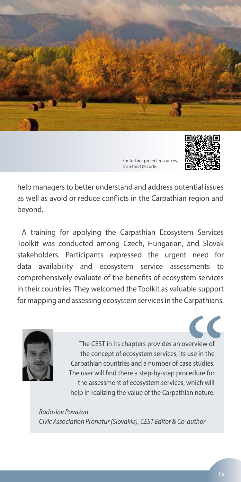



help managers to better understand and address potential issues as well as avoid or reduce conflicts in the Carpathian region and beyond.

A training for applying the Carpathian Ecosystem Services Toolkit was conducted among Czech, Hungarian, and Slovak stakeholders. Participants expressed the urgent need for data availability and ecosystem service assessments to comprehensively evaluate of the benefits of ecosystem services in their countries. They welcomed the Toolkit as valuable support for mapping and assessing ecosystem services in the Carpathians.



The CEST in its chapters provides an overview of the concept of ecosystem services, its use in the Carpathian countries and a number of case studies. The user will find there a step-by-step procedure for the assessment of ecosystem services, which will help in realizing the value of the Carpathian nature.

*Radoslav Považan Civic Association Pronatur (Slovakia), CEST Editor & Co-author*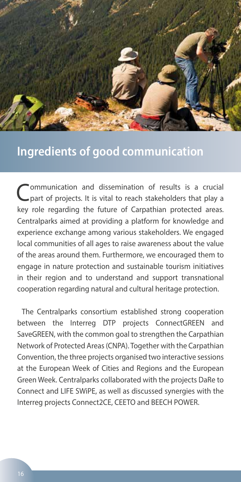

#### **Ingredients of good communication**

Communication and dissemination of results is a crucial part of projects. It is vital to reach stakeholders that play a key role regarding the future of Carpathian protected areas. Centralparks aimed at providing a platform for knowledge and experience exchange among various stakeholders. We engaged local communities of all ages to raise awareness about the value of the areas around them. Furthermore, we encouraged them to engage in nature protection and sustainable tourism initiatives in their region and to understand and support transnational cooperation regarding natural and cultural heritage protection.

The Centralparks consortium established strong cooperation between the Interreg DTP projects ConnectGREEN and SaveGREEN, with the common goal to strengthen the Carpathian Network of Protected Areas (CNPA). Together with the Carpathian Convention, the three projects organised two interactive sessions at the European Week of Cities and Regions and the European Green Week. Centralparks collaborated with the projects DaRe to Connect and LIFE SWiPE, as well as discussed synergies with the Interreg projects Connect2CE, CEETO and BEECH POWER.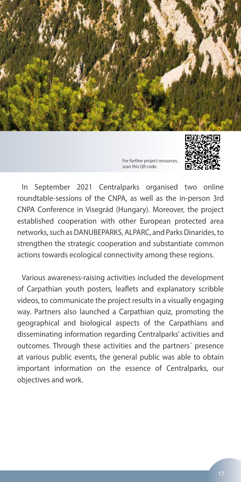



In September 2021 Centralparks organised two online roundtable-sessions of the CNPA, as well as the in-person 3rd CNPA Conference in Visegrád (Hungary). Moreover, the project established cooperation with other European protected area networks, such as DANUBEPARKS, ALPARC, and Parks Dinarides, to strengthen the strategic cooperation and substantiate common actions towards ecological connectivity among these regions.

Various awareness-raising activities included the development of Carpathian youth posters, leaflets and explanatory scribble videos, to communicate the project results in a visually engaging way. Partners also launched a Carpathian quiz, promoting the geographical and biological aspects of the Carpathians and disseminating information regarding Centralparks' activities and outcomes. Through these activities and the partners´ presence at various public events, the general public was able to obtain important information on the essence of Centralparks, our objectives and work.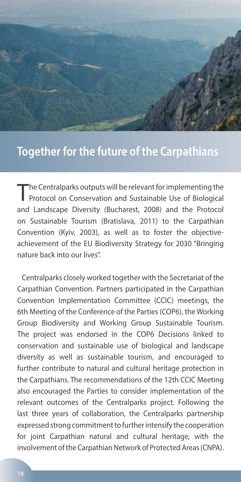

#### **Together for the future of the Carpathians**

The Central parks outputs will be relevant for implementing the<br>Protocol on Conservation and Sustainable Use of Biological and Landscape Diversity (Bucharest, 2008) and the Protocol on Sustainable Tourism (Bratislava, 2011) to the Carpathian Convention (Kyiv, 2003), as well as to foster the objectiveachievement of the EU Biodiversity Strategy for 2030 "Bringing nature back into our lives".

Centralparks closely worked together with the Secretariat of the Carpathian Convention. Partners participated in the Carpathian Convention Implementation Committee (CCIC) meetings, the 6th Meeting of the Conference of the Parties (COP6), the Working Group Biodiversity and Working Group Sustainable Tourism. The project was endorsed in the COP6 Decisions linked to conservation and sustainable use of biological and landscape diversity as well as sustainable tourism, and encouraged to further contribute to natural and cultural heritage protection in the Carpathians. The recommendations of the 12th CCIC Meeting also encouraged the Parties to consider implementation of the relevant outcomes of the Centralparks project. Following the last three years of collaboration, the Centralparks partnership expressed strong commitment to further intensify the cooperation for joint Carpathian natural and cultural heritage, with the involvement of the Carpathian Network of Protected Areas (CNPA).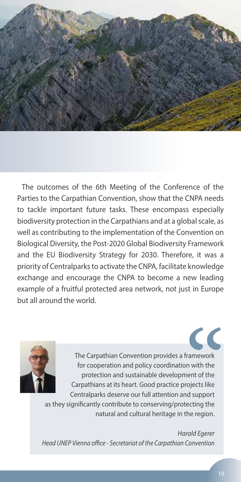

The outcomes of the 6th Meeting of the Conference of the Parties to the Carpathian Convention, show that the CNPA needs to tackle important future tasks. These encompass especially biodiversity protection in the Carpathians and at a global scale, as well as contributing to the implementation of the Convention on Biological Diversity, the Post-2020 Global Biodiversity Framework and the EU Biodiversity Strategy for 2030. Therefore, it was a priority of Centralparks to activate the CNPA, facilitate knowledge exchange and encourage the CNPA to become a new leading example of a fruitful protected area network, not just in Europe but all around the world.



The Carpathian Convention provides a framework for cooperation and policy coordination with the protection and sustainable development of the Carpathians at its heart. Good practice projects like Centralparks deserve our full attention and support

as they significantly contribute to conserving/protecting the natural and cultural heritage in the region.

*Harald Egerer Head UNEP Vienna office - Secretariat of the Carpathian Convention*

 $\overline{\mathcal{C}}$